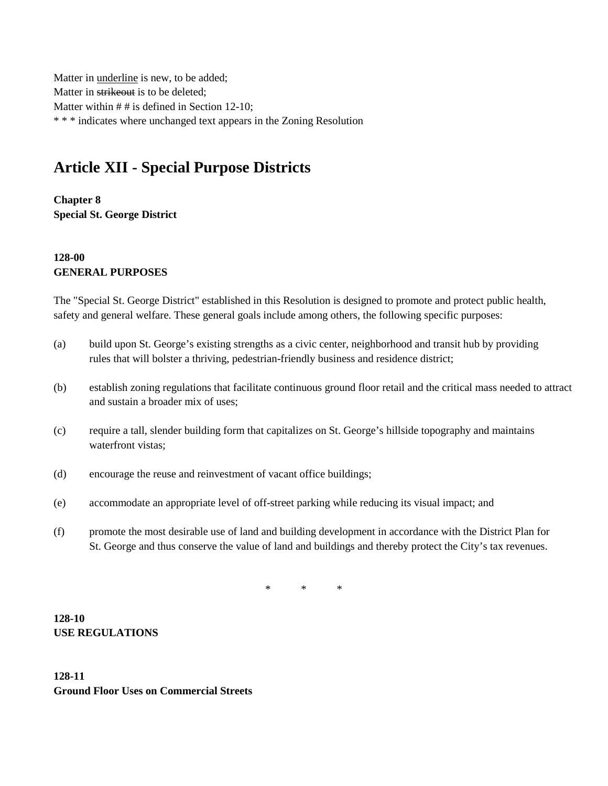Matter in underline is new, to be added; Matter in strikeout is to be deleted; Matter within # # is defined in Section 12-10; \* \* \* indicates where unchanged text appears in the Zoning Resolution

# **Article XII - Special Purpose Districts**

**Chapter 8 Special St. George District**

# **128-00 GENERAL PURPOSES**

The "Special St. George District" established in this Resolution is designed to promote and protect public health, safety and general welfare. These general goals include among others, the following specific purposes:

- (a) build upon St. George's existing strengths as a civic center, neighborhood and transit hub by providing rules that will bolster a thriving, pedestrian-friendly business and residence district;
- (b) establish zoning regulations that facilitate continuous ground floor retail and the critical mass needed to attract and sustain a broader mix of uses;
- (c) require a tall, slender building form that capitalizes on St. George's hillside topography and maintains waterfront vistas;
- (d) encourage the reuse and reinvestment of vacant office buildings;
- (e) accommodate an appropriate level of off-street parking while reducing its visual impact; and
- (f) promote the most desirable use of land and building development in accordance with the District Plan for St. George and thus conserve the value of land and buildings and thereby protect the City's tax revenues.

\* \* \*

**128-10 USE REGULATIONS**

**128-11 Ground Floor Uses on Commercial Streets**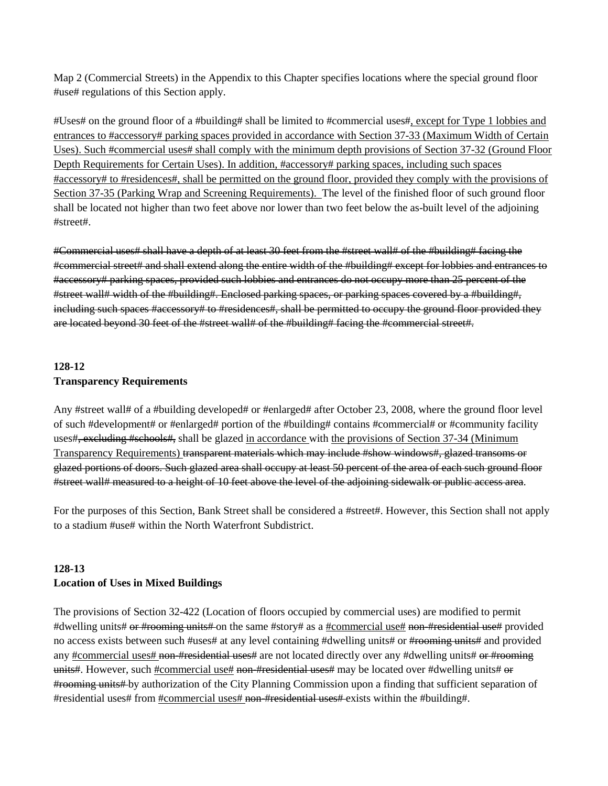Map 2 (Commercial Streets) in the Appendix to this Chapter specifies locations where the special ground floor #use# regulations of this Section apply.

#Uses# on the ground floor of a #building# shall be limited to #commercial uses#, except for Type 1 lobbies and entrances to #accessory# parking spaces provided in accordance with Section 37-33 (Maximum Width of Certain Uses). Such #commercial uses# shall comply with the minimum depth provisions of Section 37-32 (Ground Floor Depth Requirements for Certain Uses). In addition, #accessory# parking spaces, including such spaces #accessory# to #residences#, shall be permitted on the ground floor, provided they comply with the provisions of Section 37-35 (Parking Wrap and Screening Requirements). The level of the finished floor of such ground floor shall be located not higher than two feet above nor lower than two feet below the as-built level of the adjoining #street#.

#Commercial uses# shall have a depth of at least 30 feet from the #street wall# of the #building# facing the #commercial street# and shall extend along the entire width of the #building# except for lobbies and entrances to #accessory# parking spaces, provided such lobbies and entrances do not occupy more than 25 percent of the #street wall# width of the #building#. Enclosed parking spaces, or parking spaces covered by a #building#, including such spaces #accessory# to #residences#, shall be permitted to occupy the ground floor provided they are located beyond 30 feet of the #street wall# of the #building# facing the #commercial street#.

# **128-12 Transparency Requirements**

Any #street wall# of a #building developed# or #enlarged# after October 23, 2008, where the ground floor level of such #development# or #enlarged# portion of the #building# contains #commercial# or #community facility uses#, excluding #schools#, shall be glazed in accordance with the provisions of Section 37-34 (Minimum Transparency Requirements) transparent materials which may include #show windows#, glazed transoms or glazed portions of doors. Such glazed area shall occupy at least 50 percent of the area of each such ground floor #street wall# measured to a height of 10 feet above the level of the adjoining sidewalk or public access area.

For the purposes of this Section, Bank Street shall be considered a #street#. However, this Section shall not apply to a stadium #use# within the North Waterfront Subdistrict.

## **128-13 Location of Uses in Mixed Buildings**

The provisions of Section 32-422 (Location of floors occupied by commercial uses) are modified to permit #dwelling units# or #rooming units# on the same #story# as a <u>#commercial use#</u> non-#residential use# provided no access exists between such #uses# at any level containing #dwelling units# or #rooming units# and provided any #commercial uses# non-#residential uses# are not located directly over any #dwelling units# or #rooming units#. However, such #commercial use# non-#residential uses# may be located over #dwelling units# or #rooming units# by authorization of the City Planning Commission upon a finding that sufficient separation of #residential uses# from  $\frac{\text{H}\text{R}}{\text{H}\text{R}}$  = hon-#residential uses# exists within the #building#.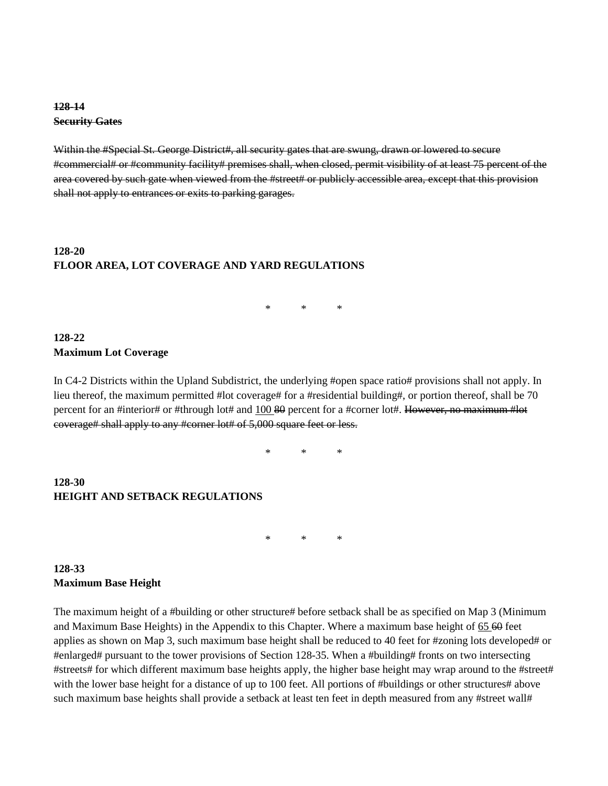### **128-14 Security Gates**

Within the #Special St. George District#, all security gates that are swung, drawn or lowered to secure #commercial# or #community facility# premises shall, when closed, permit visibility of at least 75 percent of the area covered by such gate when viewed from the #street# or publicly accessible area, except that this provision shall not apply to entrances or exits to parking garages.

# **128-20 FLOOR AREA, LOT COVERAGE AND YARD REGULATIONS**

\* \* \*

## **128-22 Maximum Lot Coverage**

In C4-2 Districts within the Upland Subdistrict, the underlying #open space ratio# provisions shall not apply. In lieu thereof, the maximum permitted #lot coverage# for a #residential building#, or portion thereof, shall be 70 percent for an #interior# or #through lot# and 100 80 percent for a #corner lot#. However, no maximum #lot coverage# shall apply to any #corner lot# of 5,000 square feet or less.

\* \* \*

#### **128-30 HEIGHT AND SETBACK REGULATIONS**

\* \* \*

## **128-33 Maximum Base Height**

The maximum height of a #building or other structure# before setback shall be as specified on Map 3 (Minimum and Maximum Base Heights) in the Appendix to this Chapter. Where a maximum base height of 65 60 feet applies as shown on Map 3, such maximum base height shall be reduced to 40 feet for #zoning lots developed# or #enlarged# pursuant to the tower provisions of Section 128-35. When a #building# fronts on two intersecting #streets# for which different maximum base heights apply, the higher base height may wrap around to the #street# with the lower base height for a distance of up to 100 feet. All portions of #buildings or other structures# above such maximum base heights shall provide a setback at least ten feet in depth measured from any #street wall#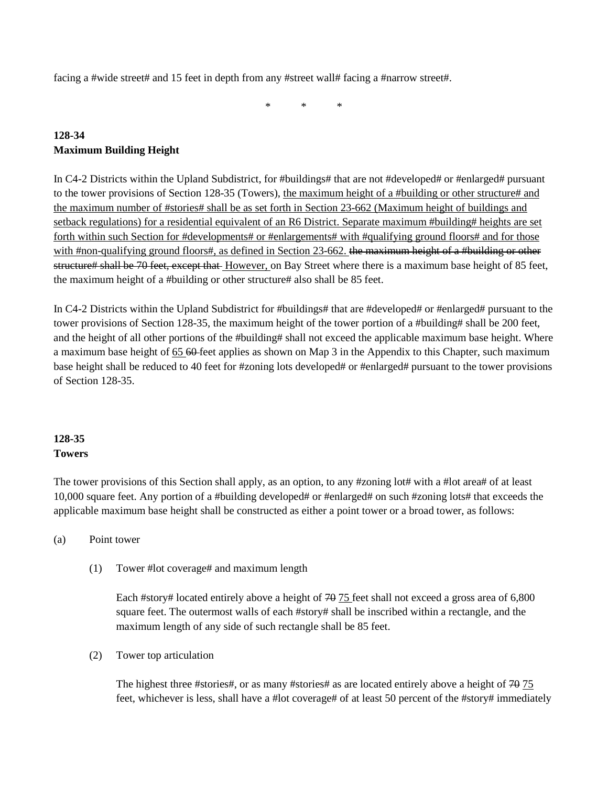facing a #wide street# and 15 feet in depth from any #street wall# facing a #narrow street#.

\* \* \*

# **128-34 Maximum Building Height**

In C4-2 Districts within the Upland Subdistrict, for #buildings# that are not #developed# or #enlarged# pursuant to the tower provisions of Section 128-35 (Towers), the maximum height of a #building or other structure# and the maximum number of #stories# shall be as set forth in Section 23-662 (Maximum height of buildings and setback regulations) for a residential equivalent of an R6 District. Separate maximum #building# heights are set forth within such Section for #developments# or #enlargements# with #qualifying ground floors# and for those with #non-qualifying ground floors#, as defined in Section 23-662. the maximum height of a #building or other structure# shall be 70 feet, except that However, on Bay Street where there is a maximum base height of 85 feet, the maximum height of a #building or other structure# also shall be 85 feet.

In C4-2 Districts within the Upland Subdistrict for #buildings# that are #developed# or #enlarged# pursuant to the tower provisions of Section 128-35, the maximum height of the tower portion of a #building# shall be 200 feet, and the height of all other portions of the #building# shall not exceed the applicable maximum base height. Where a maximum base height of 65 60 feet applies as shown on Map 3 in the Appendix to this Chapter, such maximum base height shall be reduced to 40 feet for #zoning lots developed# or #enlarged# pursuant to the tower provisions of Section 128-35.

# **128-35 Towers**

The tower provisions of this Section shall apply, as an option, to any #zoning lot# with a #lot area# of at least 10,000 square feet. Any portion of a #building developed# or #enlarged# on such #zoning lots# that exceeds the applicable maximum base height shall be constructed as either a point tower or a broad tower, as follows:

#### (a) Point tower

(1) Tower #lot coverage# and maximum length

Each #story# located entirely above a height of 70 75 feet shall not exceed a gross area of 6,800 square feet. The outermost walls of each #story# shall be inscribed within a rectangle, and the maximum length of any side of such rectangle shall be 85 feet.

(2) Tower top articulation

The highest three #stories#, or as many #stories# as are located entirely above a height of  $74\,75$ feet, whichever is less, shall have a #lot coverage# of at least 50 percent of the #story# immediately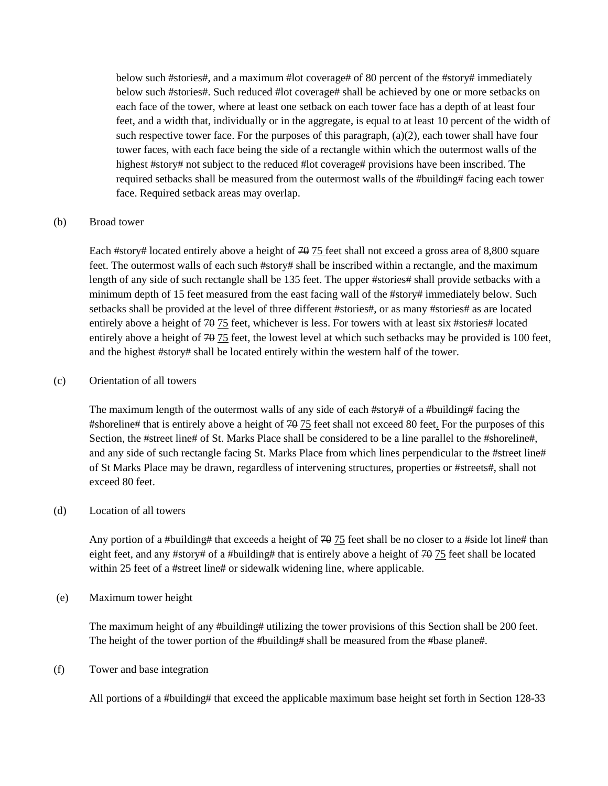below such #stories#, and a maximum #lot coverage# of 80 percent of the #story# immediately below such #stories#. Such reduced #lot coverage# shall be achieved by one or more setbacks on each face of the tower, where at least one setback on each tower face has a depth of at least four feet, and a width that, individually or in the aggregate, is equal to at least 10 percent of the width of such respective tower face. For the purposes of this paragraph,  $(a)(2)$ , each tower shall have four tower faces, with each face being the side of a rectangle within which the outermost walls of the highest #story# not subject to the reduced #lot coverage# provisions have been inscribed. The required setbacks shall be measured from the outermost walls of the #building# facing each tower face. Required setback areas may overlap.

#### (b) Broad tower

Each #story# located entirely above a height of 70 75 feet shall not exceed a gross area of 8,800 square feet. The outermost walls of each such #story# shall be inscribed within a rectangle, and the maximum length of any side of such rectangle shall be 135 feet. The upper #stories# shall provide setbacks with a minimum depth of 15 feet measured from the east facing wall of the #story# immediately below. Such setbacks shall be provided at the level of three different #stories#, or as many #stories# as are located entirely above a height of 70 75 feet, whichever is less. For towers with at least six #stories# located entirely above a height of 70 75 feet, the lowest level at which such setbacks may be provided is 100 feet, and the highest #story# shall be located entirely within the western half of the tower.

#### (c) Orientation of all towers

The maximum length of the outermost walls of any side of each #story# of a #building# facing the #shoreline# that is entirely above a height of 70 75 feet shall not exceed 80 feet. For the purposes of this Section, the #street line# of St. Marks Place shall be considered to be a line parallel to the #shoreline#, and any side of such rectangle facing St. Marks Place from which lines perpendicular to the #street line# of St Marks Place may be drawn, regardless of intervening structures, properties or #streets#, shall not exceed 80 feet.

#### (d) Location of all towers

Any portion of a #building# that exceeds a height of  $70-75$  feet shall be no closer to a #side lot line# than eight feet, and any #story# of a #building# that is entirely above a height of  $\frac{40}{75}$  feet shall be located within 25 feet of a #street line# or sidewalk widening line, where applicable.

#### (e) Maximum tower height

The maximum height of any #building# utilizing the tower provisions of this Section shall be 200 feet. The height of the tower portion of the #building# shall be measured from the #base plane#.

#### (f) Tower and base integration

All portions of a #building# that exceed the applicable maximum base height set forth in Section 128-33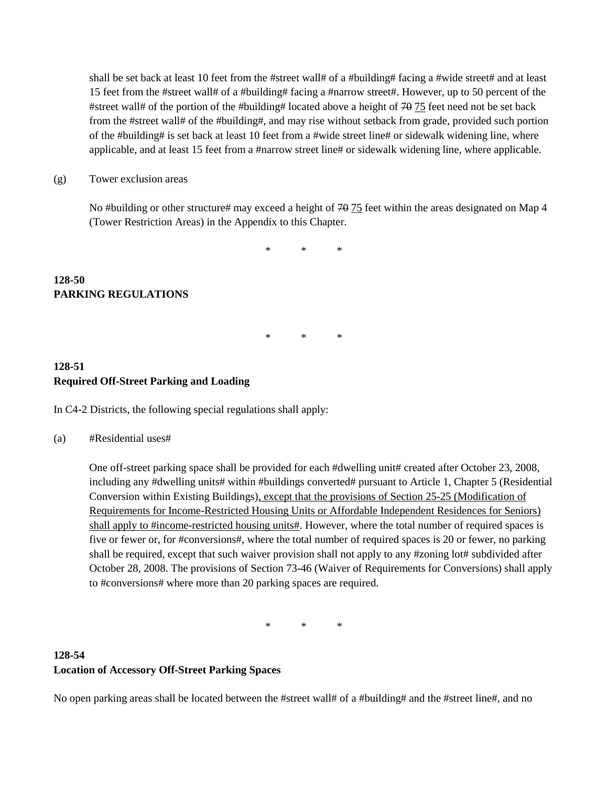shall be set back at least 10 feet from the #street wall# of a #building# facing a #wide street# and at least 15 feet from the #street wall# of a #building# facing a #narrow street#. However, up to 50 percent of the #street wall# of the portion of the #building# located above a height of  $70-75$  feet need not be set back from the #street wall# of the #building#, and may rise without setback from grade, provided such portion of the #building# is set back at least 10 feet from a #wide street line# or sidewalk widening line, where applicable, and at least 15 feet from a #narrow street line# or sidewalk widening line, where applicable.

(g) Tower exclusion areas

No #building or other structure# may exceed a height of 70 75 feet within the areas designated on Map 4 (Tower Restriction Areas) in the Appendix to this Chapter.

\* \* \*

\* \* \*

## **128-50 PARKING REGULATIONS**

## **128-51 Required Off-Street Parking and Loading**

In C4-2 Districts, the following special regulations shall apply:

(a) #Residential uses#

One off-street parking space shall be provided for each #dwelling unit# created after October 23, 2008, including any #dwelling units# within #buildings converted# pursuant to Article 1, Chapter 5 (Residential Conversion within Existing Buildings), except that the provisions of Section 25-25 (Modification of Requirements for Income-Restricted Housing Units or Affordable Independent Residences for Seniors) shall apply to #income-restricted housing units#. However, where the total number of required spaces is five or fewer or, for #conversions#, where the total number of required spaces is 20 or fewer, no parking shall be required, except that such waiver provision shall not apply to any #zoning lot# subdivided after October 28, 2008. The provisions of Section 73-46 (Waiver of Requirements for Conversions) shall apply to #conversions# where more than 20 parking spaces are required.

\* \* \*

# **128-54 Location of Accessory Off-Street Parking Spaces**

No open parking areas shall be located between the #street wall# of a #building# and the #street line#, and no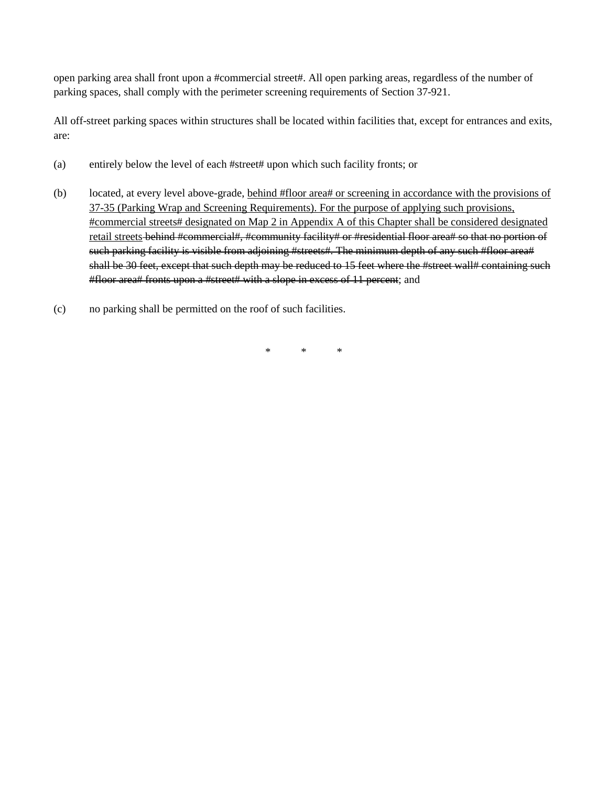open parking area shall front upon a #commercial street#. All open parking areas, regardless of the number of parking spaces, shall comply with the perimeter screening requirements of Section 37-921.

All off-street parking spaces within structures shall be located within facilities that, except for entrances and exits, are:

- (a) entirely below the level of each #street# upon which such facility fronts; or
- (b) located, at every level above-grade, behind #floor area# or screening in accordance with the provisions of 37-35 (Parking Wrap and Screening Requirements). For the purpose of applying such provisions, #commercial streets# designated on Map 2 in Appendix A of this Chapter shall be considered designated retail streets behind #commercial#, #community facility# or #residential floor area# so that no portion of such parking facility is visible from adjoining #streets#. The minimum depth of any such #floor area# shall be 30 feet, except that such depth may be reduced to 15 feet where the #street wall# containing such #floor area# fronts upon a #street# with a slope in excess of 11 percent; and
- (c) no parking shall be permitted on the roof of such facilities.

\* \* \*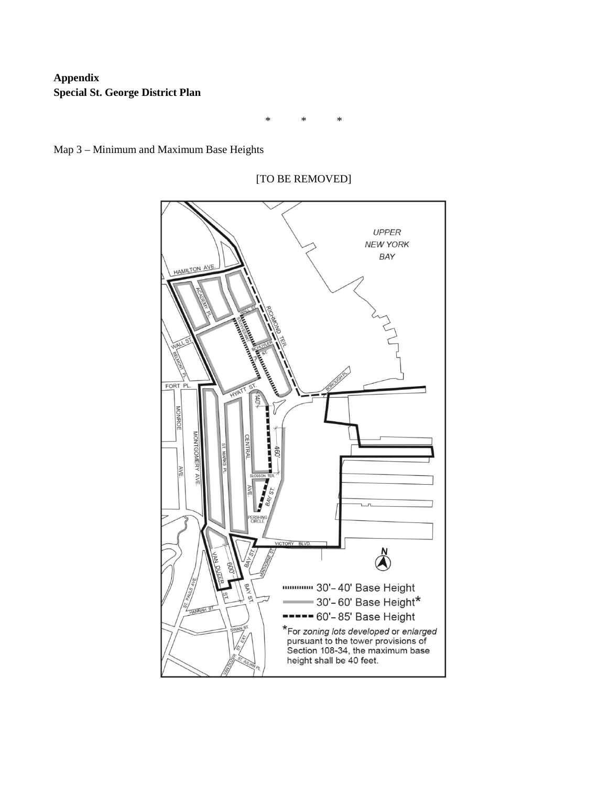# **Appendix Special St. George District Plan**

\* \* \*





[TO BE REMOVED]